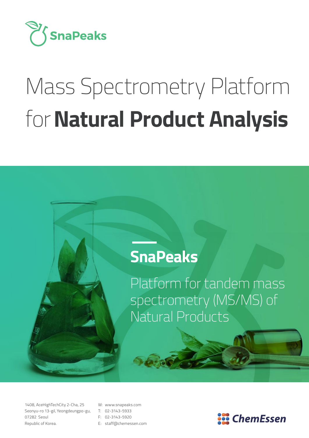

# Mass Spectrometry Platform for**Natural Product Analysis**

### **SnaPeaks**

Platform for tandem mass spectrometry (MS/MS) of Natural Products

1408, AceHighTechCity 2-Cha, 25 Seonyu-ro 13-gil, Yeongdeungpo-gu, 07282 Seoul Republic of Korea.

- W: www.snapeaks.com
- T: 02-3143-5933
- F: 02-3143-5920
- E: staff@chemessen.com

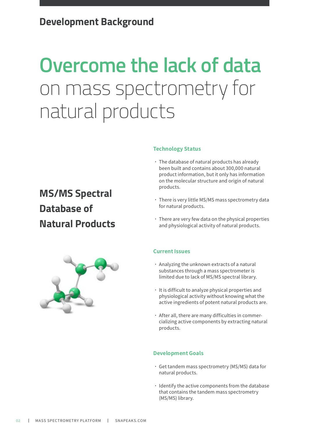## **Overcome the lack of data**  on mass spectrometry for natural products

**MS/MS Spectral Database of Natural Products**

### **Technology Status**

- ˙ The database of natural products has already been built and contains about 300,000 natural product information, but it only has information on the molecular structure and origin of natural products.
- ˙ There is very little MS/MS mass spectrometry data for natural products.
- ˙ There are very few data on the physical properties and physiological activity of natural products.

#### **Current Issues**

- ˙ Analyzing the unknown extracts of a natural substances through a mass spectrometer is limited due to lack of MS/MS spectral library.
- ˙ It is difficult to analyze physical properties and physiological activity without knowing what the active ingredients of potent natural products are.
- ˙ After all, there are many difficulties in commercializing active components by extracting natural products.

#### **Development Goals**

- ˙ Get tandem mass spectrometry (MS/MS) data for natural products.
- ˙ Identify the active components from the database that contains the tandem mass spectrometry (MS/MS) library.

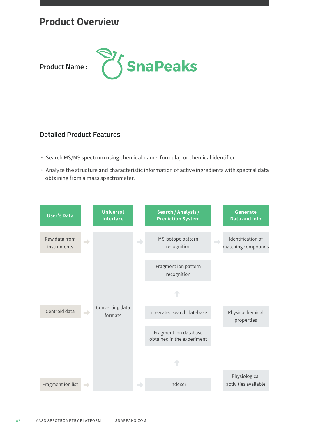### **Product Overview**



**Product Name :**

### **Detailed Product Features**

- ˙ Search MS/MS spectrum using chemical name, formula, or chemical identifier.
- ˙ Analyze the structure and characteristic information of active ingredients with spectral data obtaining from a mass spectrometer.

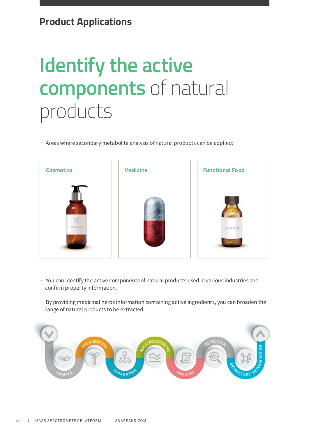### **Product Applications**

## **Identify the active components** of natural products

˙ Areas where secondary metabolite analysis of natural products can be applied;



- ˙ You can identify the active components of natural products used in various industries and confirm property information.
- ˙ By providing medicinal herbs information containing active ingredients, you can broaden the range of natural products to be extracted.

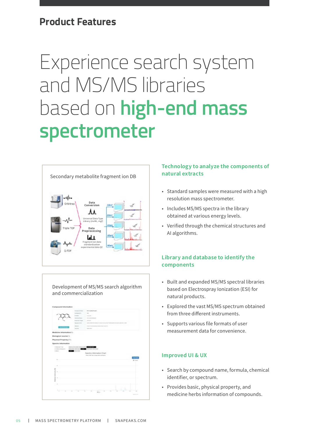### **Product Features**

## Experience search system and MS/MS libraries based on **high-end mass spectrometer**



Development of MS/MS search algorithm and commercialization

|                                                                     | <b>Trimpered States</b>     | <b>B.A. confort country</b>                                                               |                                                                                                |
|---------------------------------------------------------------------|-----------------------------|-------------------------------------------------------------------------------------------|------------------------------------------------------------------------------------------------|
|                                                                     | Companies on                | $\frac{1}{2} \left( \frac{1}{2} \right) \left( \frac{1}{2} \right)$                       |                                                                                                |
|                                                                     | <b>Promote 11</b>           | <b>Number</b>                                                                             |                                                                                                |
|                                                                     | classica ad lateral         | To in Angeles Property                                                                    |                                                                                                |
|                                                                     | <b>Statistical Congress</b> | <b>COLLEGE</b><br><b>TANK TOPPAT</b>                                                      |                                                                                                |
|                                                                     | <b>Business Mark</b>        | industrials<br>2002年5月起来产生的名词称中国PASSION 医外皮胶状过敏电解引力强制                                     |                                                                                                |
|                                                                     | <b>STATISTICS</b>           | Contained and Contained<br><b>STATISTICS</b>                                              |                                                                                                |
|                                                                     | Los Inc.                    | a sa<br><b>HOTHART</b>                                                                    |                                                                                                |
| Medicine Intermation(1)                                             |                             |                                                                                           |                                                                                                |
| <b>Breneghiai source</b> (1)                                        |                             |                                                                                           |                                                                                                |
| Physical Property(27)                                               |                             |                                                                                           |                                                                                                |
| Spectra Information                                                 |                             |                                                                                           |                                                                                                |
|                                                                     |                             |                                                                                           |                                                                                                |
|                                                                     |                             | −                                                                                         |                                                                                                |
| Louisview Fork<br>J (Laborat Espaintre)                             | 22.00                       |                                                                                           |                                                                                                |
| Linker.<br><b>COLOR</b>                                             |                             |                                                                                           |                                                                                                |
|                                                                     |                             | <b>Spectra Information Chart</b><br>o.                                                    |                                                                                                |
|                                                                     |                             | Press "self has in brackets collected"                                                    |                                                                                                |
| <b>STELL</b>                                                        |                             |                                                                                           | <b>B</b> Sect                                                                                  |
| w                                                                   |                             |                                                                                           |                                                                                                |
| $\frac{1}{2} \left( \frac{1}{2} \right) \left( \frac{1}{2} \right)$ |                             |                                                                                           |                                                                                                |
|                                                                     |                             |                                                                                           |                                                                                                |
| $\frac{1}{2}$                                                       |                             |                                                                                           |                                                                                                |
|                                                                     |                             |                                                                                           |                                                                                                |
| below the fact that<br>$\sim$                                       |                             |                                                                                           |                                                                                                |
| ļ                                                                   |                             |                                                                                           |                                                                                                |
|                                                                     |                             |                                                                                           |                                                                                                |
| $\sim$                                                              |                             |                                                                                           |                                                                                                |
|                                                                     |                             |                                                                                           | ٠                                                                                              |
| $4 - 4 - 4 = 8$                                                     |                             | $\overline{\phantom{a}}$<br>$\sim$<br>$\sim$<br>$\sim$<br>$\overline{m}$<br>$\frac{1}{2}$ | $\rightarrow$<br>$\sim$<br>$\frac{1}{2} \left( \frac{1}{2} \right) \left( \frac{1}{2} \right)$ |

#### **Technology to analyze the components of natural extracts**

- Standard samples were measured with a high resolution mass spectrometer.
- Includes MS/MS spectra in the library obtained at various energy levels.
- Verified through the chemical structures and AI algorithms.

### **Library and database to identify the components**

- Built and expanded MS/MS spectral libraries based on Electrospray Ionization (ESI) for natural products.
- Explored the vast MS/MS spectrum obtained from three different instruments.
- Supports various file formats of user measurement data for convenience.

#### **Improved UI & UX**

- Search by compound name, formula, chemical identifier, or spectrum.
- Provides basic, physical property, and medicine herbs information of compounds.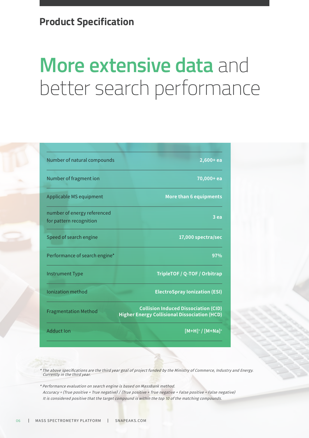### **Product Specification**

## **More extensive data** and better search performance

| Number of natural compounds                            | $2,600+ea$                                                                                         |  |
|--------------------------------------------------------|----------------------------------------------------------------------------------------------------|--|
| Number of fragment ion                                 | 70,000+ ea                                                                                         |  |
| Applicable MS equipment                                | More than 6 equipments                                                                             |  |
| number of energy referenced<br>for pattern recognition | 3 ea                                                                                               |  |
| Speed of search engine                                 | 17,000 spectra/sec                                                                                 |  |
| Performance of search engine*                          | 97%                                                                                                |  |
| <b>Instrument Type</b>                                 | TripleTOF / Q-TOF / Orbitrap                                                                       |  |
| <b>Ionization method</b>                               | <b>ElectroSpray Ionization (ESI)</b>                                                               |  |
| <b>Fragmentation Method</b>                            | <b>Collision Induced Dissociation (CID)</b><br><b>Higher Energy Collisional Dissociation (HCD)</b> |  |
| <b>Adduct Ion</b>                                      | $[M+H]^{\dagger}/[M+Na]^{\dagger}$                                                                 |  |

\* The above specifications are the third year goal of project funded by the Ministry of Commerce, Industry and Energy. Currently in the third year.

\* Performance evaluation on search engine is based on MassBank method. Accuracy = (True positive + True negative) / (True positive + True negative + False positive + False negative) It is considered positive that the target compound is within the top 10 of the matching compounds.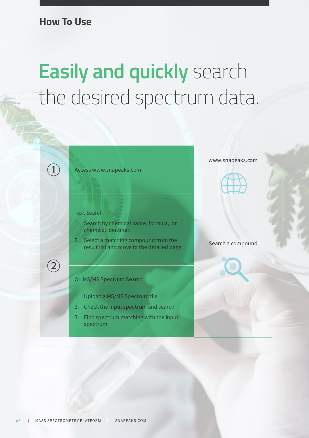**How To Use**

## **Easily and quickly** search the desired spectrum data.

 $\bigcap$  Access www.snapeaks.com

#### Text Search

 $(2)$ 

- 1. Search by chemical name, formula, or chemical identifier.
- 2. Select a matching compound from the select a matching compound from the search a compound<br>result list and move to the detailed page.

#### Or, MS/MS Spectrum Search

- 1. Upload a MS/MS Spectrum file
- 2. Check the input spectrum and search
- 3. Find spectrum matching with the input spectrum

www.snapeaks.com